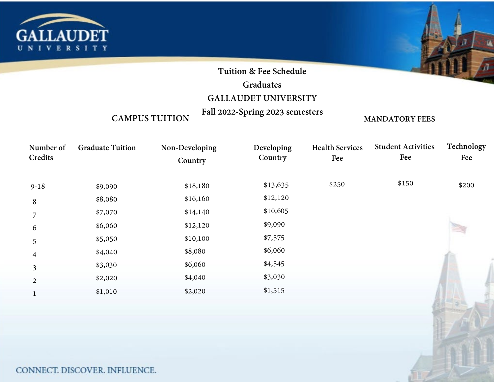

# **Tuition & Fee Schedule**

## **Graduates**

# **GALLAUDET UNIVERSITY**

**Fall 2022-Spring 2023 semesters**

## **CAMPUS TUITION**

## **MANDATORY FEES**

| Number of<br>Credits | <b>Graduate Tuition</b> | Non-Developing<br>Country | Developing<br>Country | <b>Health Services</b><br>Fee | <b>Student Activities</b><br>Fee | Technology<br>Fee |
|----------------------|-------------------------|---------------------------|-----------------------|-------------------------------|----------------------------------|-------------------|
| $9 - 18$             | \$9,090                 | \$18,180                  | \$13,635              | \$250                         | \$150                            | \$200             |
| 8                    | \$8,080                 | \$16,160                  | \$12,120              |                               |                                  |                   |
| 7                    | \$7,070                 | \$14,140                  | \$10,605              |                               |                                  |                   |
| 6                    | \$6,060                 | \$12,120                  | \$9,090               |                               |                                  |                   |
| 5                    | \$5,050                 | \$10,100                  | \$7,575               |                               |                                  |                   |
| 4                    | \$4,040                 | \$8,080                   | \$6,060               |                               |                                  |                   |
| 3                    | \$3,030                 | \$6,060                   | \$4,545               |                               |                                  |                   |
| $\overline{2}$       | \$2,020                 | \$4,040                   | \$3,030               |                               |                                  |                   |
|                      | \$1,010                 | \$2,020                   | \$1,515               |                               |                                  |                   |
|                      |                         |                           |                       |                               |                                  |                   |